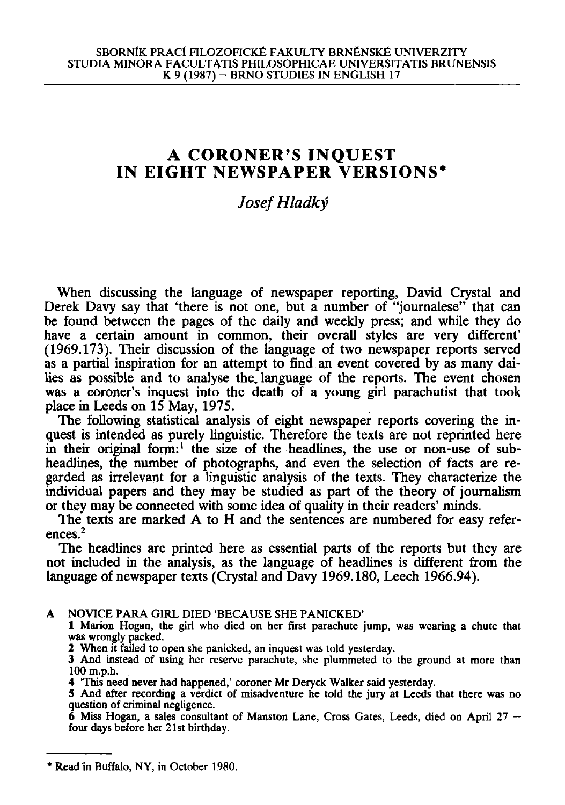## **A CORONER'S INQUEST IN EIGHT NEWSPAPER VERSIONS\***

# *Josef Hladky*

**When discussing the language of newspaper reporting, David Crystal and Derek Davy say that 'there is not one, but a number of "journalese" that can be found between the pages of the daily and weekly press; and while they do have a certain amount in common, their overall styles are very different' (1969.173). Their discussion of the language of two newspaper reports served as a partial inspiration for an attempt to find an event covered by as many dailies as possible and to analyse the. language of the reports. The event chosen was a coroner's inquest into the death of a young girl parachutist that took place in Leeds on 15 May, 1975.** 

**The following statistical analysis of eight newspaper reports covering the inquest is intended as purely linguistic. Therefore the texts are not reprinted here**  in their original form:<sup>1</sup> the size of the headlines, the use or non-use of sub**headlines, the number of photographs, and even the selection of facts are regarded as irrelevant for a linguistic analysis of the texts. They characterize the individual papers and they may be studied as part of the theory of journalism or they may be connected with some idea of quality in their readers' minds.** 

**The texts are marked A to H and the sentences are numbered for easy references.<sup>2</sup>**

**The headlines are printed here as essential parts of the reports but they are not included in the analysis, as the language of headlines is different from the language of newspaper texts (Crystal and Davy 1969.180, Leech 1966.94).** 

A NOVICE PARA GIRL DIED 'BECAUSE SHE PANICKED'

**1** Marion Hogan, the girl who died on her first parachute jump, was wearing a chute that was wrongly packed.

**2** When it failed to open she panicked, an inquest was told yesterday.

**3** And instead of using her reserve parachute, she plummeted to the ground at more than lOOm.p.h.

**4** This need never had happened,' coroner Mr Deryck Walker said yesterday.

**5** And after recording a verdict of misadventure he told the jury at Leeds that there was no question of criminal negligence.

**6** Miss Hogan, a sales consultant of Manston Lane, Cross Gates, Leeds, died on April 27 four days before her 21st birthday.

<sup>\*</sup> Read In Buffalo, NY, in October 1980.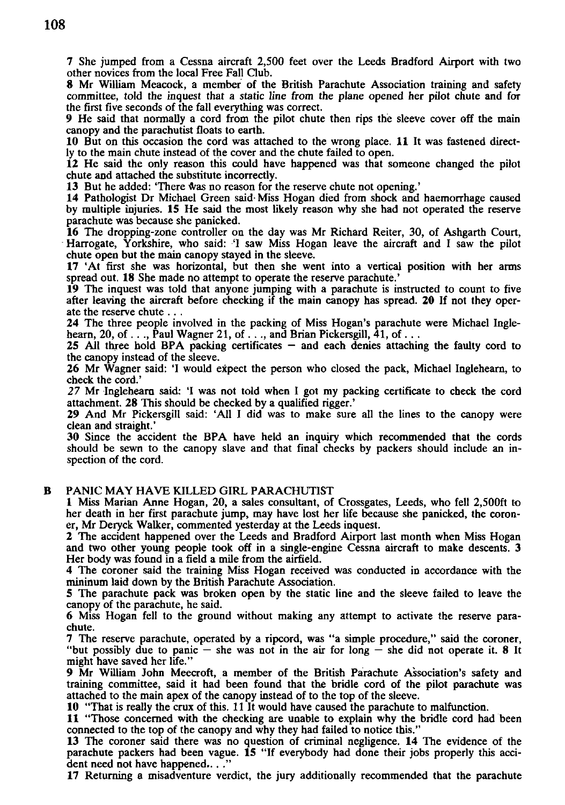**7** She jumped from a Cessna aircraft 2,500 feet over the Leeds Bradford Airport with two other novices from the local Free Fall Club.

**8** Mr William Meacock, a member of the British Parachute Association training and safety committee, told the inquest that a static line from the plane opened her pilot chute and for the first five seconds of the fall everything was correct.

**9** He said that normally a cord from the pilot chute then rips the sleeve cover off the main canopy and the parachutist floats to earth.

**10** But on this occasion the cord was attached to the wrong place. **11** It was fastened directly to the main chute instead of the cover and the chute failed to open.

**12** He said the only reason this could have happened was that someone changed the pilot chute and attached the substitute incorrectly.

**13** But he added: "There was no reason for the reserve chute not opening.'

**14** Pathologist Dr Michael Green said- Miss Hogan died from shock and haemorrhage caused by multiple injuries. **15** He said the most likely reason why she had not operated the reserve parachute was because she panicked.

**16** The dropping-zone controller on the day was Mr Richard Reiter, 30, of Ashgarth Court, Harrogate, Yorkshire, who said: 'I saw Miss Hogan leave the aircraft and I saw the pilot chute open but the main canopy stayed in the sleeve.

**17** 'At first she was horizontal, but then she went into a vertical position with her arms spread out. **18** She made no attempt to operate the reserve parachute.'

**19** The inquest was told that anyone jumping with a parachute is instructed to count to five after leaving the aircraft before checking if the main canopy has spread. **20** If not they operate the reserve chute . . .

**24** The three people involved in the packing of Miss Hogan's parachute were Michael Inglehearn, 20, of . . ., Paul Wagner 21, of . . ., and Brian Pickersgill, 41, of . .

**25** All three hold BPA packing certificates  $-$  and each denies attaching the faulty cord to the canopy instead of the sleeve.

**26** Mr Wagner said: 'I would expect the person who closed the pack, Michael Inglehearn, to check the cord.'

*27* Mr Inglehearn said: 'I was not told when I got my packing certificate to check the cord attachment. **28** This should be checked by a qualified rigger.'

**29** And Mr Pickersgill said: 'Al l I did was to make sure all the lines to the canopy were clean and straight.'

**30** Since the accident the BPA have held an inquiry which recommended that the cords should be sewn to the canopy slave and that final checks by packers should include an inspection of the cord.

#### B PANIC MAY HAVE KILLED GIRL PARACHUTIST

**1** Miss Marian Anne Hogan, 20, a sales consultant, of Crossgates, Leeds, who fell 2,500ft to her death in her first parachute jump, may have lost her life because she panicked, the coroner, Mr Deryck Walker, commented yesterday at the Leeds inquest.

**2** The accident happened over the Leeds and Bradford Airport last month when Miss Hogan and two other young people took off in a single-engine Cessna aircraft to make descents. **3**  Her body was found in a field a mile from the airfield.

**4** The coroner said the training Miss Hogan received was conducted in accordance with the mininum laid down by the British Parachute Association.

**5** The parachute pack was broken open by the static line and the sleeve failed to leave the canopy of the parachute, he said.

**6** Miss Hogan fell to the ground without making any attempt to activate the reserve parachute.

**7** The reserve parachute, operated by a ripcord, was "a simple procedure," said the coroner, "but possibly due to panic — she was not in the air for long — she did not operate it. **8** It might have saved her life."

**9** Mr William John Meecroft, a member of the British Parachute Association's safety and training committee, said it had been found that the bridle cord of the pilot parachute was attached to the main apex of the canopy instead of to the top of the sleeve.

**10** "That is really the crux of this. 11 It would have caused the parachute to malfunction.

**11** "Those concerned with the checking are unable to explain why the bridle cord had been connected to the top of the canopy and why they had failed to notice this."

**13** The coroner said there was no question of criminal negligence. **14** The evidence of the parachute packers had been vague. **15** "If everybody had done their jobs properly this accident need not have happened..."

**17** Returning a misadventure verdict, the jury additionally recommended that the parachute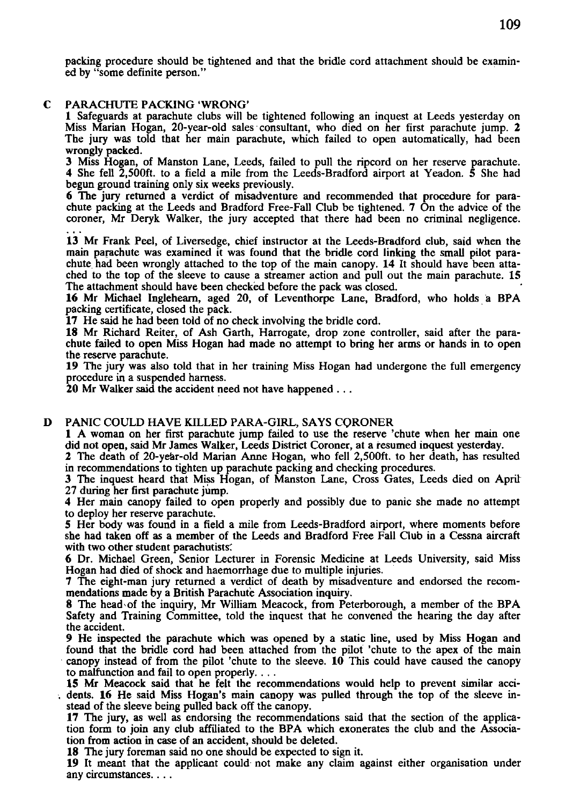packing procedure should be tightened and that the bridle cord attachment should be examined by "some definite person."

#### C PARACHUTE PACKING 'WRONG'

**1** Safeguards at parachute clubs will be tightened following an inquest at Leeds yesterday on Miss Marian Hogan, 20-year-old sales consultant, who died on her first parachute jump. **2**  The jury was told that her main parachute, which failed to open automatically, had been wrongly packed.

**3** Miss Hogan, of Manston Lane, Leeds, failed to pull the ripcord on her reserve parachute. **4** She fell 2,500ft. to a field a mile from the Leeds-Bradford airport at Yeadon. **5** She had begun ground training only six weeks previously.

**6** The jury returned a verdict of misadventure and recommended that procedure for parachute packing at the Leeds and Bradford Free-Fall Club be tightened. **7** On the advice of the coroner, Mr Deryk Walker, the jury accepted that there had been no criminal negligence.

**13** Mr Frank Peel, of Liversedge, chief instructor at the Leeds-Bradford club, said when the main parachute was examined it was found that the bridle cord linking the small pilot parachute had been wrongly attached to the top of the main canopy. **14** It should have been attached to the top of the sleeve to cause a streamer action and pull out the main parachute. **15**  The attachment should have been checked before the pack was closed.

**16** Mr Michael Ingleheam, aged 20, of Leventhorpe Lane, Bradford, who holds a BPA packing certificate, closed the pack.

**17** He said he had been told of no check involving the bridle cord.

**18** Mr Richard Reiter, of Ash Garth, Harrogate, drop zone controller, said after the parachute failed to open Miss Hogan had made no attempt to bring her arms or hands in to open the reserve parachute.

**19** The jury was also told that in her training Miss Hogan had undergone the full emergency procedure in a suspended harness.

**20** Mr Walker said the accident need not have happened . . .

#### D PANIC COULD HAVE KILLED PARA-GIRL, SAYS CORONER

**1** A woman on her first parachute jump failed to use the reserve 'chute when her main one did not open, said Mr James Walker, Leeds District Coroner, at a resumed inquest yesterday.

2 The death of 20-year-old Marian Anne Hogan, who fell 2,500ft. to her death, has resulted in recommendations to tighten up parachute packing and checking procedures.

**3** The inquest heard that Miss Hogan, of Manston Lane, Cross Gates, Leeds died on Aprif 27 during her first parachute jump.

**4** Her main canopy failed to open properly and possibly due to panic she made no attempt to deploy her reserve parachute.

**5** Her body was found in a field a mile from Leeds-Bradford airport, where moments before she had taken off as a member of the Leeds and Bradford Free Fall Club in a Cessna aircraft with two other student parachutists:

**6** Dr. Michael Green, Senior Lecturer in Forensic Medicine at Leeds University, said Miss Hogan had died of shock and haemorrhage due to multiple injuries.

**7** The eight-man jury returned a verdict of death by misadventure and endorsed the recommendations made by a British Parachute Association inquiry.

**8** The head of the inquiry, Mr William Meacock, from Peterborough, a member of the BPA Safety and Training Committee, told the inquest that he convened the hearing the day after the accident.

**9** He inspected the parachute which was opened by a static line, used by Miss Hogan and found that the bridle cord had been attached from the pilot 'chute to the apex of the main canopy instead of from the pilot 'chute to the sleeve. **10** This could have caused the canopy to malfunction and fail to open properly. . . .

**15** Mr Meacock said that he felt the recommendations would help to prevent similar acci- , dents. **16** He said Miss Hogan's main canopy was pulled through the top of the sleeve instead of the sleeve being pulled back off the canopy.

**17** The jury, as well as endorsing the recommendations said that the section of the application form to join any club affiliated to the BPA which exonerates the club and the Association from action in case of an accident, should be deleted.

**18** The jury foreman said no one should be expected to sign it.

**19** It meant that the applicant could not make any claim against either organisation under any circumstances.. . .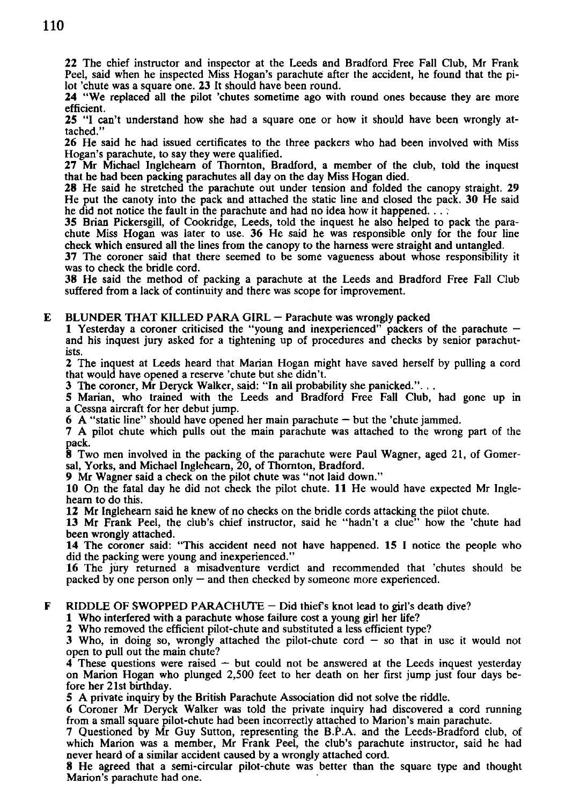**22** The chief instructor and inspector at the Leeds and Bradford Free Fall Club, Mr Frank Peel, said when he inspected Miss Hogan's parachute after the accident, he found that the pilot 'chute was a square one. **23** It should have been round.

**24** "We replaced all the pilot 'chutes sometime ago with round ones because they are more efficient.

**25** "I can't understand how she had a square one or how it should have been wrongly attached."

**26** He said he had issued certificates to the three packers who had been involved with Miss Hogan's parachute, to say they were qualified.

**27** Mr Michael Ingleheam of Thornton, Bradford, a member of the club, told the inquest that he had been packing parachutes all day on the day Miss Hogan died.

**28** He said he stretched the parachute out under tension and folded the canopy straight. **29**  He put the canoty into the pack and attached the static line and closed the pack. **30** He said he did not notice the fault in the parachute and had no idea how it happened. . . .

**35** Brian Pickersgill, of Cookridge, Leeds, told the inquest he also helped to pack the parachute Miss Hogan was later to use. **36** He said he was responsible only for the four line check which ensured all the lines from the canopy to the harness were straight and untangled.

**37** The coroner said that there seemed to be some vagueness about whose responsibility it was to check the bridle cord.

**38** He said the method of packing a parachute at the Leeds and Bradford Free Fall Club suffered from a lack of continuity and there was scope for improvement.

#### $E$  BLUNDER THAT KILLED PARA GIRL  $-$  Parachute was wrongly packed

**1** Yesterday a coroner criticised the "young and inexperienced" packers of the parachute and his inquest jury asked for a tightening up of procedures and checks by senior parachutists.

**2** The inquest at Leeds heard that Marian Hogan might have saved herself by pulling a cord that would have opened a reserve 'chute but she didn't.

**3** The coroner, Mr Deryck Walker, said: "In all probability she panicked.". . .

**5** Marian, who trained with the Leeds and Bradford Free Fall Club, had gone up in a Cessna aircraft for her debut jump.

**6** A "static line" should have opened her main parachute — but the 'chute jammed.

7 A pilot chute which pulls out the main parachute was attached to the wrong part of the pack.

**8** Two men involved in the packing of the parachute were Paul Wagner, aged 21, of Gomersal, Yorks, and Michael Ingleheam, 20, of Thornton, Bradford.

**9** Mr Wagner said a check on the pilot chute was "not laid down."

**10** On the fatal day he did not check the pilot chute. **11** He would have expected Mr Ingleheam to do this.

**12** Mr Ingleheam said he knew of no checks on the bridle cords attacking the pilot chute.

**13** Mr Frank Peel, the club's chief instructor, said he "hadn't a clue" how the 'chute had been wrongly attached.

**14** The coroner said: "This accident need not have happened. **15** I notice the people who did the packing were young and inexperienced."

**16** The jury returned a misadventure verdict and recommended that 'chutes should be packed by one person only — and then checked by someone more experienced.

**F** RIDDLE OF SWOPPED PARACHUTE  $-$  Did thief's knot lead to girl's death dive?

**1** Who interfered with a parachute whose failure cost a young girl her life?

**2** Who removed the efficient pilot-chute and substituted a less efficient type?

**3** Who, in doing so, wrongly attached the pilot-chute cord — so that in use it would not open to pull out the main chute?

**4** These questions were raised — but could not be answered at the Leeds inquest yesterday on Marion Hogan who plunged 2,500 feet to her death on her first jump just four days before her 21st birthday.

**5** A private inquiry by the British Parachute Association did not solve the riddle.

**6** Coroner Mr Deryck Walker was told the private inquiry had discovered a cord running from a small square pilot-chute had been incorrectly attached to Marion's main parachute.

7 Questioned by Mr Guy Sutton, representing the B.P.A. and the Leeds-Bradford club, of which Marion was a member, Mr Frank Peel, the club's parachute instructor, said he had never heard of a similar accident caused by a wrongly attached cord.

**8** He agreed that a semi-circular pilot-chute was better than the square type and thought Marion's parachute had one.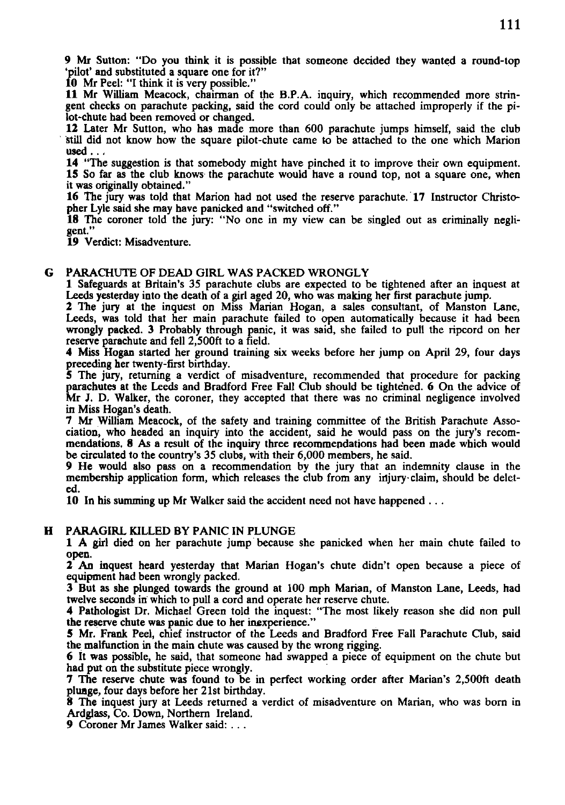**9** Mr Sutton: "Do you think it is possible that someone decided they wanted a round-top 'pilot' and substituted a square one for it?"

**10** Mr Peel: "I think it is very possible."

**11** Mr William Meacock, chairman of the B.P.A. inquiry, which recommended more stringent checks on parachute packing, said the cord could only be attached improperly if the pilot-chute had been removed or changed.

**12** Later Mr Sutton, who has made more than 600 parachute jumps himself, said the club still did not know how the square pilot-chute came to be attached to the one which Marion used .. .

**14** "The suggestion is that somebody might have pinched it to improve their own equipment. **15** So far as the club knows the parachute would have a round top, not a square one, when it was originally obtained."

**16** The jury was told that Marion had not used the reserve parachute. **17** Instructor Christopher Lyle said she may have panicked and "switched off."

**18** The coroner told the jury: "No one in my view can be singled out as criminally negligent."

**19** Verdict: Misadventure.

#### G PARACHUTE OF DEAD GIRL WAS PACKED WRONGLY

**1** Safeguards at Britain's 35 parachute clubs are expected to be tightened after an inquest at Leeds yesterday into the death of a girl aged 20, who was making her first parachute jump.

**2** The jury at the inquest on Miss Marian Hogan, a sales consultant, of Manston Lane, Leeds, was told that her main parachute failed to open automatically because it had been wrongly packed. **3** Probably through panic, it was said, she failed to pull the ripcord on her reserve parachute and fell 2,500ft to a field.

**4** Miss Hogan started her ground training six weeks before her jump on April 29, four days preceding her twenty-first birthday.

5 The jury, returning a verdict of misadventure, recommended that procedure for packing parachutes at the Leeds and Bradford Free Fall Club should be tightened. **6** On the advice of Mr J. D. Walker, the coroner, they accepted that there was no criminal negligence involved in Miss Hogan's death.

**7** Mr William Meacock, of the safety and training committee of the British Parachute Association, who headed an inquiry into the accident, said he would pass on the jury's recommendations. **8** As a result of the inquiry three recommendations had been made which would be circulated to the country's 35 clubs, with their 6,000 members, he said.

**9** He would also pass on a recommendation by the jury that an indemnity clause in the membership application form, which releases the club from any injury-claim, should be deleted.

**10** In his summing up Mr Walker said the accident need not have happened . . .

#### **H** PARAGIRL KILLED BY PANIC IN PLUNGE

**1** A girl died on her parachute jump because she panicked when her main chute failed to open.

**2** An inquest heard yesterday that Marian Hogan's chute didn't open because a piece of equipment had been wrongly packed.

**3** But as she plunged towards the ground at 100 mph Marian, of Manston Lane, Leeds, had twelve seconds in which to pull a cord and operate her reserve chute.

**4** Pathologist Dr. Michael Green told the inquest: "The most likely reason she did non pull the reserve chute was panic due to her inexperience."

**5** Mr. Frank Peel, chief instructor of the Leeds and Bradford Free Fall Parachute Club, said the malfunction in the main chute was caused by the wrong rigging.

**6** It was possible, he said, that someone had swapped a piece of equipment on the chute but had put on the substitute piece wrongly.

**7** The reserve chute was found to be in perfect working order after Marian's 2,500ft death pluage, four days before her 21st birthday.

**8** The inquest jury at Leeds returned a verdict of misadventure on Marian, who was born in Ardglass, Co. Down, Northern Ireland.

**9** Coroner Mr James Walker said: . . .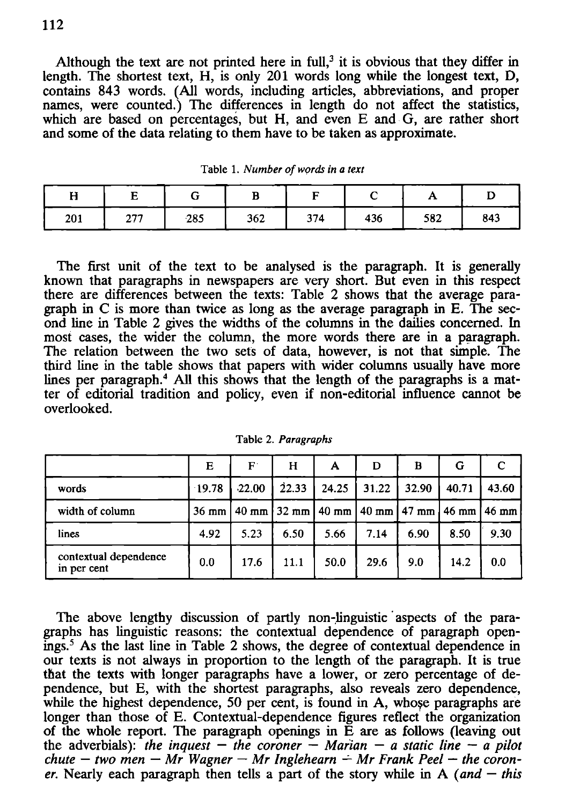**Although the text are not printed here in full,<sup>3</sup> it is obvious that they differ in length. The shortest text, H, is only 201 words long while the longest text, D, contains 843 words. (All words, including articles, abbreviations, and proper names, were counted.) The differences in length do not affect the statistics,**  which are based on percentages, but H, and even E and G, are rather short **and some of the data relating to them have to be taken as approximate.** 

| ម<br>. . |     |     |     |     |     |     |     |
|----------|-----|-----|-----|-----|-----|-----|-----|
| 201      | 277 | 285 | 362 | 374 | 436 | 582 | 843 |

Table 1. *Number of words in a text* 

**The first unit of the text to be analysed is the paragraph. It is generally known that paragraphs in newspapers are very short. But even in this respect there are differences between the texts: Table 2 shows that the average paragraph in C is more than twice as long as the average paragraph in E. The second line in Table 2 gives the widths of the columns in the dailies concerned. In most cases, the wider the column, the more words there are in a paragraph. The relation between the two sets of data, however, is not that simple. The third line in the table shows that papers with wider columns usually have more lines per paragraph.<sup>4</sup> All this shows that the length of the paragraphs is a matter of editorial tradition and policy, even if non-editorial influence cannot be overlooked.** 

|                                      | Е        | F        | н     | А     | D     | В                                                     | G     | с     |
|--------------------------------------|----------|----------|-------|-------|-------|-------------------------------------------------------|-------|-------|
| words                                | $-19.78$ | $-22.00$ | 22.33 | 24.25 | 31.22 | 32.90                                                 | 40.71 | 43.60 |
| width of column                      |          |          |       |       |       | 36 mm   40 mm   32 mm   40 mm   40 mm   47 mm   46 mm |       | 46 mm |
| lines                                | 4.92     | 5.23     | 6.50  | 5.66  | 7.14  | 6.90                                                  | 8.50  | 9.30  |
| contextual dependence<br>in per cent | 0.0      | 17.6     | 11.1  | 50.0  | 29.6  | 9.0                                                   | 14.2  | 0.0   |

Table 2. *Paragraphs* 

**The above lengthy discussion of partly non-linguistic aspects of the paragraphs has linguistic reasons: the contextual dependence of paragraph openings.<sup>5</sup> As the last line in Table 2 shows, the degree of contextual dependence in our texts is not always in proportion to the length of the paragraph. It is true that the texts with longer paragraphs have a lower, or zero percentage of dependence, but E, with the shortest paragraphs, also reveals zero dependence, while the highest dependence, 50 per cent, is found in A, whose paragraphs are longer than those of E. Contextual-dependence figures reflect the organization of the whole report. The paragraph openings in E are as follows (leaving out**  the adverbials): the inquest  $\overline{-}$  the coroner  $\overline{-}$  Marian  $\overline{-}$  a static line  $\overline{-}$  a pilot *chute — two men — Mr Wagner — Mr Inglehearn — Mr Frank Peel — the coroner.* **Nearly each paragraph then tells a part of the story while in A** *{and — this*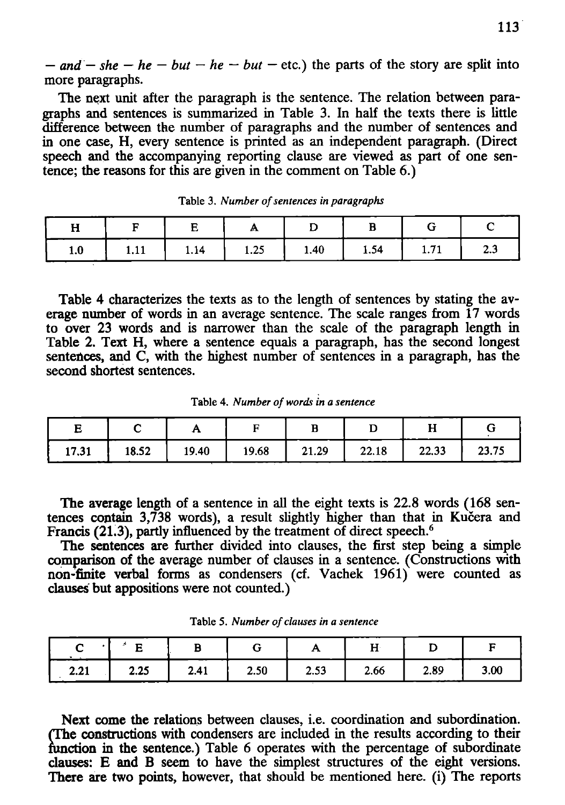$-$  and  $-$  she  $-$  he  $-$  but  $-$  he  $-$  but  $-$  etc.) the parts of the story are split into **more paragraphs.** 

**The next unit after the paragraph is the sentence. The relation between paragraphs and sentences is summarized in Table 3. In half the texts there is little difference between the number of paragraphs and the number of sentences and in one case, H, every sentence is printed as an independent paragraph. (Direct speech and the accompanying reporting clause are viewed as part of one sentence; the reasons for this are given in the comment on Table 6.)** 

| --<br>-- |          |      | <b>ALL</b>        |      |      |         |     |
|----------|----------|------|-------------------|------|------|---------|-----|
| 1.0      | $-1$<br> | 1.14 | $\sigma$<br>ر ۱.۷ | 1.40 | 1.54 | <b></b> | د.ء |

Table 3. *Number of sentences in paragraphs* 

**Table 4 characterizes the texts as to the length of sentences by stating the average number of words in an average sentence. The scale ranges from 17 words to over 23 words and is narrower than the scale of the paragraph length in Table 2. Text H, where a sentence equals a paragraph, has the second longest sentences, and C, with the highest number of sentences in a paragraph, has the second shortest sentences.** 

Table 4. *Number of words in a sentence* 

|       |       |       |       |       |       | . .            |                  |
|-------|-------|-------|-------|-------|-------|----------------|------------------|
| 17.31 | 18.52 | 19.40 | 19.68 | 21.29 | 22.18 | ממ הה<br>22.33 | つつ ワミ<br>29. I J |

**The average length of a sentence in all the eight texts is 22.8 words (168 sen**tences contain 3,738 words), a result slightly higher than that in Kucera and **Francis (21.3), partly influenced by the treatment of direct speech.<sup>6</sup>**

**The sentences are further divided into clauses, the first step being a simple comparison of the average number of clauses in a sentence. (Constructions with non-finite verbal forms as condensers (cf. Vachek 1961) were counted as clauses but appositions were not counted.)** 

Table 5. *Number of clauses in a sentence* 

|      | <u>.</u> |      |      | л.         | п    |      |      |
|------|----------|------|------|------------|------|------|------|
| 2.21 | 2.25     | 2.41 | 2.50 | 25<br>دد.ء | 2.66 | 2.89 | 3.00 |

**Next come the relations between clauses, i.e. coordination and subordination. (The constructions with condensers are included in the results according to their function in the sentence.) Table 6 operates with the percentage of subordinate clauses: E and B seem to have the simplest structures of the eight versions. There are two points, however, that should be mentioned here, (i) The reports**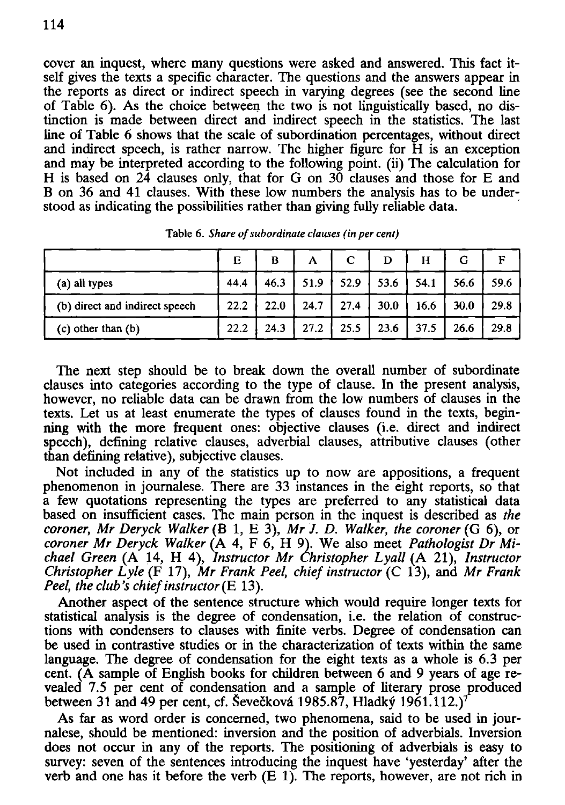**cover an inquest, where many questions were asked and answered. This fact itself gives the texts a specific character. The questions and the answers appear in the reports as direct or indirect speech in varying degrees (see the second line of Table 6). As the choice between the two is not linguistically based, no distinction is made between direct and indirect speech in the statistics. The last line of Table 6 shows that the scale of subordination percentages, without direct and indirect speech, is rather narrow. The higher figure for H is an exception and may be interpreted according to the following point, (ii) The calculation for H is based on 24 clauses only, that for G on 30 clauses and those for E and B on 36 and 41 clauses. With these low numbers the analysis has to be understood as indicating the possibilities rather than giving fully reliable data.** 

|                                | E    | в    | A    | C    | D    | Н    | G    | F    |
|--------------------------------|------|------|------|------|------|------|------|------|
| (a) all types                  | 44.4 | 46.3 | 51.9 | 52.9 | 53.6 | 54.1 | 56.6 | 59.6 |
| (b) direct and indirect speech | 22.2 | 22.0 | 24.7 | 27.4 | 30.0 | 16.6 | 30.0 | 29.8 |
| $(c)$ other than $(b)$         | 22.2 | 24.3 | 27.2 | 25.5 | 23.6 | 37.5 | 26.6 | 29.8 |

Table 6. *Share of subordinate clauses (in per cent)* 

**The next step should be to break down the overall number of subordinate clauses into categories according to the type of clause. In the present analysis, however, no reliable data can be drawn from the low numbers of clauses in the texts. Let us at least enumerate the types of clauses found in the texts, beginning with the more frequent ones: objective clauses (i.e. direct and indirect speech), defining relative clauses, adverbial clauses, attributive clauses (other than defining relative), subjective clauses.** 

**Not included in any of the statistics up to now are appositions, a frequent phenomenon in journalese. There are 33 instances in the eight reports, so that a few quotations representing the types are preferred to any statistical data based on insufficient cases. The main person in the inquest is described as** *the coroner, Mr Deryck Walker* **(B 1, E 3),** *Mr J. D. Walker, the coroner* **(G 6), or**  *coroner Mr Deryck Walker* **(A 4, F 6, H 9). We also meet** *Pathologist Dr Michael Green* **(A 14, H 4),** *Instructor Mr Christopher Lyall* **(A 21),** *Instructor Christopher Lyle* **(F 17),** *Mr Frank Peel, chief instructor* **(C 13), and** *Mr Frank Peel, the club's chief instructor (E* **13).** 

**Another aspect of the sentence structure which would require longer texts for statistical analysis is the degree of condensation, i.e. the relation of constructions with condensers to clauses with finite verbs. Degree of condensation can be used in contrastive studies or in the characterization of texts within the same language. The degree of condensation for the eight texts as a whole is 6.3 per cent. (A sample of English books for children between 6 and 9 years of age revealed 7.5 per cent of condensation and a sample of literary prose produced between 31 and 49 per cent, cf. Seveckova 1985.87, Hladky 1961.112.)<sup>7</sup>**

**As far as word order is concerned, two phenomena, said to be used in journalese, should be mentioned: inversion and the position of adverbials. Inversion does not occur in any of the reports. The positioning of adverbials is easy to survey: seven of the sentences introducing the inquest have 'yesterday' after the verb and one has it before the verb (E 1). The reports, however, are not rich in**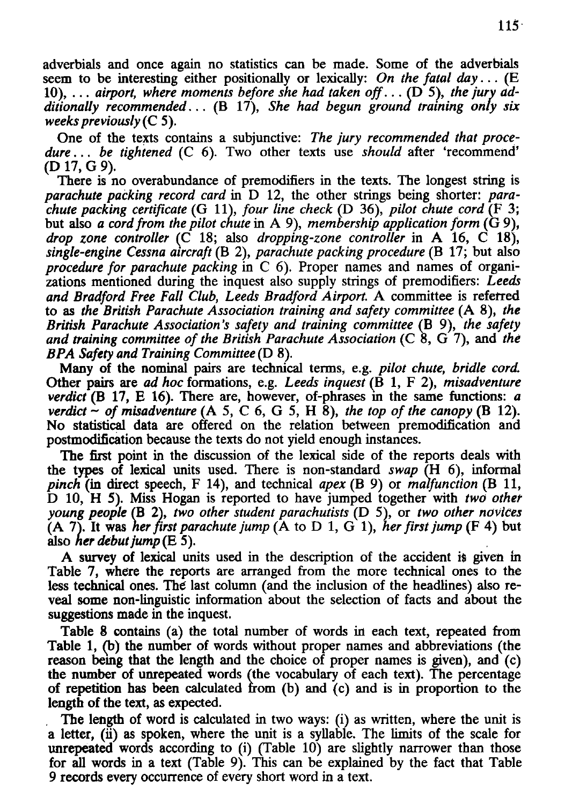**adverbials and once again no statistics can be made. Some of the adverbials seem to be interesting either positionally or lexically:** *On the fatal day***... (E 10), .. .** *airport, where moments before she had taken off...* **(D 5),** *the jury additionally recommended...* **(B 17),** *She had begun ground training only six weeks previously* **(C 5).** 

**One of the texts contains a subjunctive:** *The jury recommended that procedure ... be tightened* **(C 6). Two other texts use** *should* **after 'recommend' (D 17, G 9).** 

**There is no overabundance of premodifiers in the texts. The longest string is**  *parachute packing record card* **in D 12, the other strings being shorter:** *parachute packing certificate* (G 11), *four line check* (D 36), *pilot chute cord* (F 3; **but also** *a cord from the pilot cnute* **in A 9),** *membership application form* **(G 9),**  *drop zone controller (C* **18; also** *dropping-zone controller* **in A 16, C 18),**  *single-engine Cessna aircraft* **(B 2),** *parachute packing procedure* **(B 17; but also**  *procedure for parachute packing* **in C 6). Proper names and names of organizations mentioned during the inquest also supply strings of premodifiers:** *Leeds and Bradford Free Fall Club, Leeds Bradford Airport.* **A committee is referred to as** *the British Parachute Association training and safety committee* **(A 8),** *the British Parachute Association's safety and training committee (B* **9),** *the safety and training committee of the British Parachute Association* **(C 8, G 7), and** *the BP A Safety and Training Committee* **(D 8).** 

**Many of the nominal pairs are technical terms, e.g.** *pilot chute, bridle cord.*  **Other pairs are** *ad hoc* **formations, e.g.** *Leeds inquest* **(B 1, F 2),** *misadventure verdict* (B 17, E 16). There are, however, of-phrases in the same functions: a *verdict ~ of misadventure* **(A 5, C 6, G 5, H 8),** *the top of the canopy* **(B 12). No statistical data are offered on the relation between premodification and postmodification because the texts do not yield enough instances.** 

**The first point in the discussion of the lexical side of the reports deals with the types of lexical units used. There is non-standard** *swap* **(H 6), informal**  *pinch* **(in direct speech, F 14), and technical** *apex* **(B 9) or** *malfunction* **(B 11, D 10, H 5). Miss Hogan is reported to have jumped together with** *two other young people (B* **2),** *two other student parachutists* **(D 5), or** *two other novices*  **(A 7). It was** *ner first parachute jump* **(A to D 1, G 1),** *her first jump* **(F 4) but also** *ner debut jump* **(E 5).** 

**A survey of lexical units used in the description of the accident is given in Table 7, where the reports are arranged from the more technical ones to the less technical ones.** *The* **last column (and the inclusion of the headlines) also reveal some non-linguistic information about the selection of facts and about the suggestions made in the inquest.** 

**Table 8 contains (a) the total number of words in each text, repeated from Table 1,** *(b)* **the number of words without proper names and abbreviations (the reason being that the length and the choice of proper names is given), and (c) the number of unrepeated words (the vocabulary of each text). The percentage of repetition has been calculated from (b) and (c) and is in proportion to the length of the text, as expected.** 

**The length of word is calculated in two ways: (i) as written, where the unit is a letter, (ii) as spoken, where the unit is a syllable. The limits of the scale for unrepeated words according to (i) (Table 10) are slightly narrower than those for all words in a text (Table 9). This can be explained by the fact that Table 9 records every occurrence of every short word in a text.**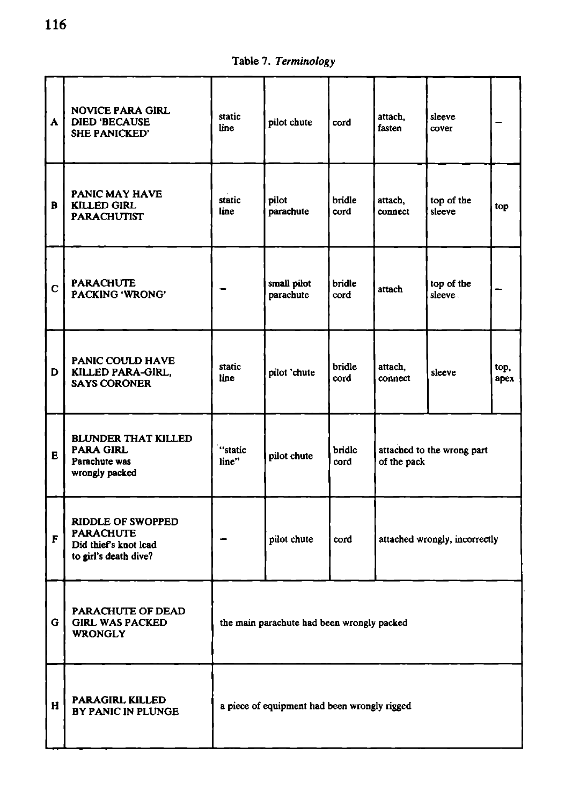| A       | <b>NOVICE PARA GIRL</b><br><b>DIED 'BECAUSE</b><br><b>SHE PANICKED'</b>                 | static<br>line                               | pilot chute                                | cord           | attach,<br>fasten  | sleeve<br>cover               |              |  |  |
|---------|-----------------------------------------------------------------------------------------|----------------------------------------------|--------------------------------------------|----------------|--------------------|-------------------------------|--------------|--|--|
| в       | PANIC MAY HAVE<br><b>KILLED GIRL</b><br><b>PARACHUTIST</b>                              | static<br>line                               | pilot<br>parachute                         | bridle<br>cord | attach,<br>connect | top of the<br>sleeve          | top          |  |  |
| C       | <b>PARACHUTE</b><br>PACKING 'WRONG'                                                     |                                              | small pilot<br>parachute                   | bridle<br>cord | attach             | top of the<br>sleeve.         |              |  |  |
| D       | <b>PANIC COULD HAVE</b><br>KILLED PARA-GIRL,<br><b>SAYS CORONER</b>                     | static<br>line                               | pilot 'chute                               | bridle<br>cord | attach.<br>connect | sleeve                        | top,<br>apex |  |  |
| Е       | <b>BLUNDER THAT KILLED</b><br>PARA GIRL<br>Parachute was<br>wrongly packed              | "static<br>line"                             | pilot chute                                | bridle<br>cord | of the pack        | attached to the wrong part    |              |  |  |
| F       | RIDDLE OF SWOPPED<br><b>PARACHUTE</b><br>Did thief's knot lead<br>to girl's death dive? |                                              | pilot chute                                | cord           |                    | attached wrongly, incorrectly |              |  |  |
| $\bf G$ | <b>PARACHUTE OF DEAD</b><br><b>GIRL WAS PACKED</b><br><b>WRONGLY</b>                    |                                              | the main parachute had been wrongly packed |                |                    |                               |              |  |  |
| н       | PARAGIRL KILLED<br><b>BY PANIC IN PLUNGE</b>                                            | a piece of equipment had been wrongly rigged |                                            |                |                    |                               |              |  |  |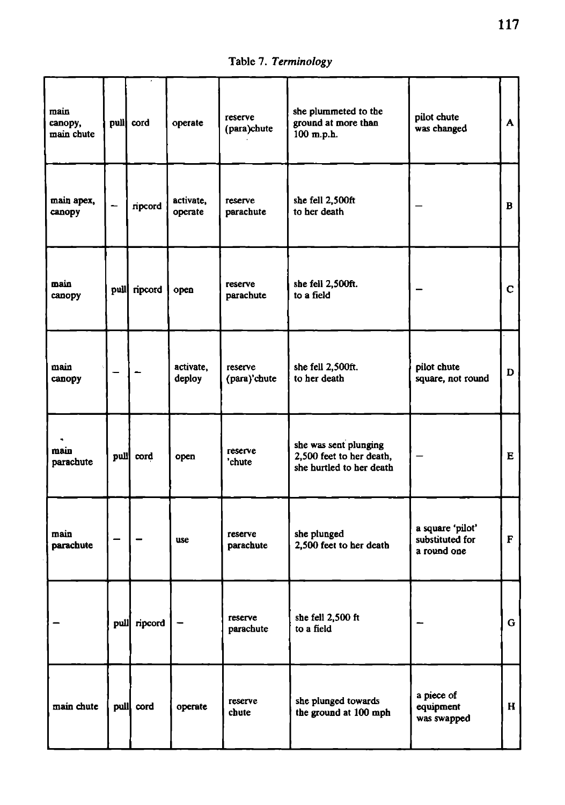Table 7. *Terminology* 

| main<br>canopy,<br>main chute |      | pull cord    | operate              | reserve<br>(para)chute  | she plummeted to the<br>ground at more than<br>100 m.p.h.                     | pilot chute<br>was changed                         | A            |
|-------------------------------|------|--------------|----------------------|-------------------------|-------------------------------------------------------------------------------|----------------------------------------------------|--------------|
| main apex,<br>canopy          |      | ripcord      | activate,<br>operate | reserve<br>parachute    | she fell 2,500ft<br>to her death                                              |                                                    | В            |
| main<br>canopy                |      | pull ripcord | open                 | reserve<br>parachute    | she fell 2,500ft.<br>to a field                                               |                                                    | $\mathbf{C}$ |
| main<br>canopy                |      |              | activate,<br>deploy  | reserve<br>(para)'chute | she fell 2,500ft.<br>to her death                                             | pilot chute<br>square, not round                   | D            |
| main<br>parachute             |      | pull cord    | open                 | reserve<br>'chute       | she was sent plunging<br>2,500 feet to her death.<br>she hurtled to her death |                                                    | Е            |
| main<br>parachute             |      |              | use                  | reserve<br>parachute    | she plunged<br>2,500 feet to her death                                        | a square 'pilot'<br>substituted for<br>a round one | $\mathbf{F}$ |
|                               |      | pull ripcord |                      | reserve<br>parachute    | she fell 2,500 ft<br>to a field                                               |                                                    | G            |
| main chute                    | pull | cord         | operate              | reserve<br>chute        | she plunged towards<br>the ground at 100 mph                                  | a piece of<br>equipment<br>was swapped             | н            |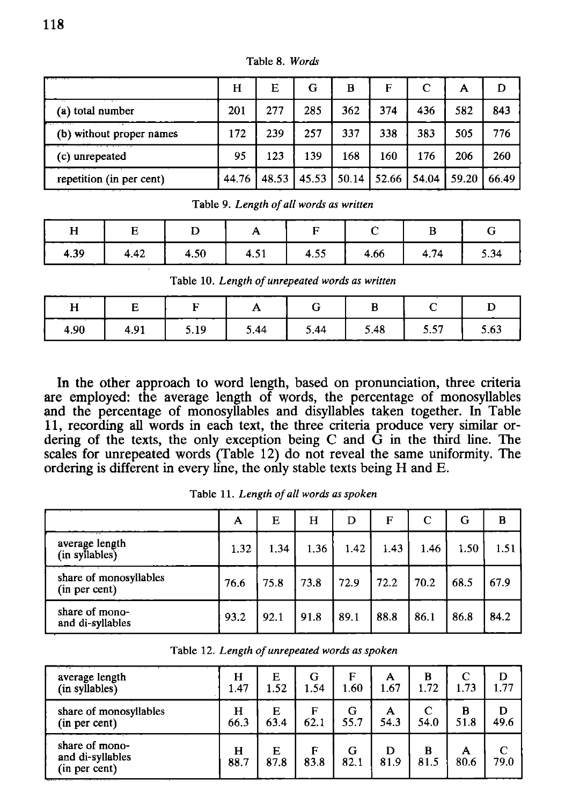|                                                  | Н     | Е     | G     | B     | F     | С     | A     | D     |
|--------------------------------------------------|-------|-------|-------|-------|-------|-------|-------|-------|
| (a) total number                                 | 201   | 277   | 285   | 362   | 374   | 436   | 582   | 843   |
| $\cdots$<br>without proper names<br>$\mathbf{b}$ | 172   | 239   | 257   | 337   | 338   | 383   | 505   | 776   |
| (c) unrepeated                                   | 95    | 123   | 139   | 168   | 160   | 176   | 206   | 260   |
| repetition (in per cent)                         | 44.76 | 48.53 | 45.53 | 50.14 | 52.66 | 54.04 | 59.20 | 66.49 |

Table 8. *Words* 

Table 9. *Length of all words as written* 

| . .<br>л | c    |      | ____ | ---- |      |      |      |
|----------|------|------|------|------|------|------|------|
| 4.39     | 4.42 | 4.50 | 4.51 | 4.55 | 4.66 | 4.74 | 5.34 |

Table 10. *Length of unrepeated words as written* 

| . .  |      |      |      |      |      |      |      |
|------|------|------|------|------|------|------|------|
| 4.90 | 4.91 | 5.19 | 5.44 | 5.44 | 5.48 | 5.57 | 5.63 |

**In the other approach to word length, based on pronunciation, three criteria are employed: the average length of words, the percentage of monosyllables and the percentage of monosyllables and disyllables taken together. In Table 11, recording all words in each text, the three criteria produce very similar ordering of the texts, the only exception being C and G in the third line. The scales for unrepeated words (Table 12) do not reveal the same uniformity. The ordering is different in every line, the only stable texts being H and E.** 

|                                         | A    | Е    | н    | D    | F    | C    | G    | В    |
|-----------------------------------------|------|------|------|------|------|------|------|------|
| average length<br>(in syllables)        | 1.32 | 1.34 | 1.36 | 1.42 | 1.43 | 1.46 | 1.50 | 1.51 |
| share of monosyllables<br>(in per cent) | 76.6 | 75.8 | 73.8 | 72.9 | 72.2 | 70.2 | 68.5 | 67.9 |
| share of mono-<br>and di-syllables      | 93.2 | 92.1 | 91.8 | 89.1 | 88.8 | 86.1 | 86.8 | 84.2 |

Table 11. *Length of all words as spoken* 

| average length                                                | н         | Е         | G         | F         | A         | в         | C         | D         |
|---------------------------------------------------------------|-----------|-----------|-----------|-----------|-----------|-----------|-----------|-----------|
| (in syllables)                                                | 1.47      | 1.52      | 1.54      | 1.60      | 1.67      | 1.72      | 1.73      | 1.77      |
| share of monosyllables                                        | н         | Е         | F         | G         | A         | C         | B         | D         |
| (in per cent)                                                 | 66.3      | 63.4      | 62.1      | 55.7      | 54.3      | 54.0      | 51.8      | 49.6      |
| share of mono-<br>and di-syllables<br>(in per cent)<br>.<br>. | н<br>88.7 | Е<br>87.8 | F<br>83.8 | G<br>82.1 | D<br>81.9 | в<br>81.5 | A<br>80.6 | C<br>79.0 |

Table 12. *Length of unrepeated words as spoken*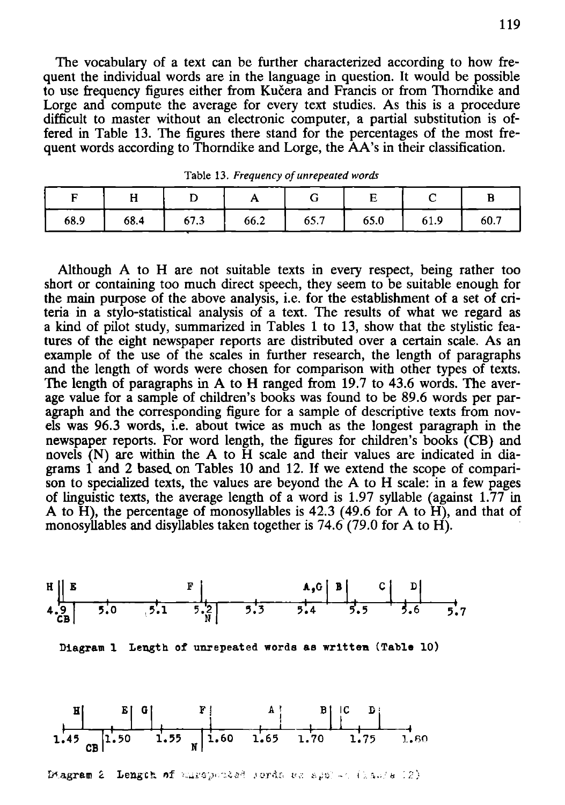**The vocabulary of a text can be further characterized according to how frequent the individual words are in the language in question. It would be possible**  to use frequency figures either from Kučera and Francis or from Thorndike and **Lorge and compute the average for every text studies. As this is a procedure difficult to master without an electronic computer, a partial substitution is offered in Table 13. The figures there stand for the percentages of the most frequent words according to Thorndike and Lorge, the AA's in their classification.** 

|      | п    |      |      |      |      |      |      |
|------|------|------|------|------|------|------|------|
| 68.9 | 68.4 | 67.3 | 66.2 | 65.7 | 65.0 | 61.9 | 60.7 |

Table 13. *Frequency of unrepealed words* 

**Although A to H are not suitable texts in every respect, being rather too short or containing too much direct speech, they seem to be suitable enough for the main purpose of the above analysis, i.e. for the establishment of a set of criteria in a stylo-statistical analysis of a text. The results of what we regard as a kind of pilot study, summarized in Tables 1 to 13, show that the stylistic features of the eight newspaper reports are distributed over a certain scale. As an example of the use of the scales in further research, the length of paragraphs and the length of words were chosen for comparison with other types of texts. The length of paragraphs in A to H ranged from 19.7 to 43.6 words. The average value for a sample of children's books was found to be 89.6 words per paragraph and the corresponding figure for a sample of descriptive texts from novels was 96.3 words, i.e. about twice as much as the longest paragraph in the newspaper reports. For word length, the figures for children's books (CB) and novels (N) are within the A to H scale and their values are indicated in diagrams 1 and 2 based, on Tables 10 and 12. If we extend the scope of comparison to specialized texts, the values are beyond the A to H scale: in a few pages of linguistic texts, the average length of a word is 1.97 syllable (against 1.77 in A to H), the percentage of monosyllables is 42.3 (49.6 for A to H), and that of monosyllables and disyllables taken together is 74.6 (79.0 for A to H).** 

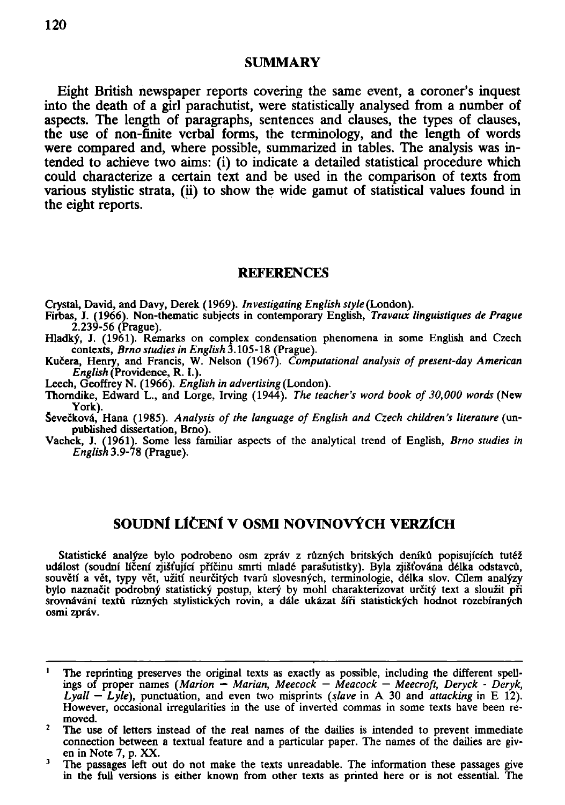### **SUMMARY**

**Eight British newspaper reports covering the same event, a coroner's inquest into the death of a girl parachutist, were statistically analysed from a number of aspects. The length of paragraphs, sentences and clauses, the types of clauses, the use of non-finite verbal forms, the terminology, and the length of words were compared and, where possible, summarized in tables. The analysis was intended to achieve two aims: (i) to indicate a detailed statistical procedure which could characterize a certain text and be used in the comparison of texts from various stylistic strata, (ii) to show the wide gamut of statistical values found in the eight reports.** 

### **REFERENCES**

- Crystal, David, and Davy, Derek (1969). *Investigating English style* (London).
- Firbas, J. (1966). Non-thematic subjects in contemporary English, *Travaux linguistiques de Prague*  2.239-56 (Prague).
- Hladky, J. (1961). Remarks on complex condensation phenomena in some English and Czech contexts, *Brno studies in English* 3.105-18 (Prague).
- Kucera, Henry, and Francis, W. Nelson (1967). *Computational analysis of present-day American English* (Providence, R. I.).
- Leech, Geoffrey N. (1966). *English in advertising* (London).
- Thomdike, Edward L., and Lorge, Irving (1944). *The teacher's word book of 30,000 words* (New York).
- Seveckovi, Hana (1985). *Analysis of the language of English and Czech children's literature* (unpublished dissertation, Brno).
- Vachek, J. (1961). Some less familiar aspects of the analytical trend of English, *Brno studies in English* 3.9-78 (Prague).

## **SOUDNf LfCENf V OSMI NOVINOVYCH VERZfCH**

Statistické analýze bylo podrobeno osm zpráv z různých britských deníků popisujících tutéž událost (soudní ličení zjišťující příčinu smrti mladé parašutistky). Byla zjišťována délka odstavcu, souvětí a vět, typy vět, užití neurčitých tvarů slovesných, terminologie, délka slov. Cílem analýzy bylo naznačit podrobný statistický postup, který by mohl charakterizovat určitý text a sloužit při srovnávání textů různých stylistických rovin, a dále ukázat šíři statistických hodnot rozebíraných osmi zprav.

The reprinting preserves the original texts as exactly as possible, including the different spellings of proper names *(Marion — Marian, Meecock — Meacock — Meecroft, Deryck - Deryk, Lyall — Lyle),* punctuation, and even two misprints *(slave* in A 30 and *attacking* in E 12). However, occasional irregularities in the use of inverted commas in some texts have been removed.

The use of letters instead of the real names of the dailies is intended to prevent immediate connection between a textual feature and a particular paper. The names of the dailies are given in Note 7, p. XX.

<sup>3</sup> The passages left out do not make the texts unreadable. The information these passages give in the full versions is either known from other texts as printed here or is not essential. The